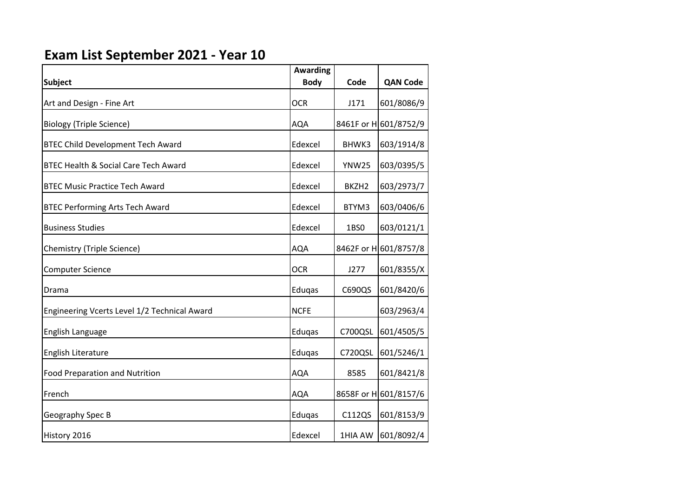## **Exam List September 2021 - Year 10**

|                                              | <b>Awarding</b> |                   |                       |
|----------------------------------------------|-----------------|-------------------|-----------------------|
| <b>Subject</b>                               | <b>Body</b>     | Code              | <b>QAN Code</b>       |
| Art and Design - Fine Art                    | <b>OCR</b>      | J171              | 601/8086/9            |
| <b>Biology (Triple Science)</b>              | <b>AQA</b>      |                   | 8461F or H 601/8752/9 |
| <b>BTEC Child Development Tech Award</b>     | Edexcel         | BHWK3             | 603/1914/8            |
| BTEC Health & Social Care Tech Award         | Edexcel         | <b>YNW25</b>      | 603/0395/5            |
| <b>BTEC Music Practice Tech Award</b>        | Edexcel         | BKZH <sub>2</sub> | 603/2973/7            |
| <b>BTEC Performing Arts Tech Award</b>       | Edexcel         | BTYM3             | 603/0406/6            |
| <b>Business Studies</b>                      | Edexcel         | 1BS0              | 603/0121/1            |
| Chemistry (Triple Science)                   | <b>AQA</b>      |                   | 8462F or H 601/8757/8 |
| <b>Computer Science</b>                      | <b>OCR</b>      | J277              | 601/8355/X            |
| Drama                                        | Eduqas          | C690QS            | 601/8420/6            |
| Engineering Vcerts Level 1/2 Technical Award | <b>NCFE</b>     |                   | 603/2963/4            |
| English Language                             | Eduqas          | C700QSL           | 601/4505/5            |
| English Literature                           | Eduqas          | C720QSL           | 601/5246/1            |
| <b>Food Preparation and Nutrition</b>        | <b>AQA</b>      | 8585              | 601/8421/8            |
| French                                       | <b>AQA</b>      |                   | 8658F or H 601/8157/6 |
| Geography Spec B                             | Eduqas          | C112QS            | 601/8153/9            |
| History 2016                                 | Edexcel         | 1HIA AW           | 601/8092/4            |